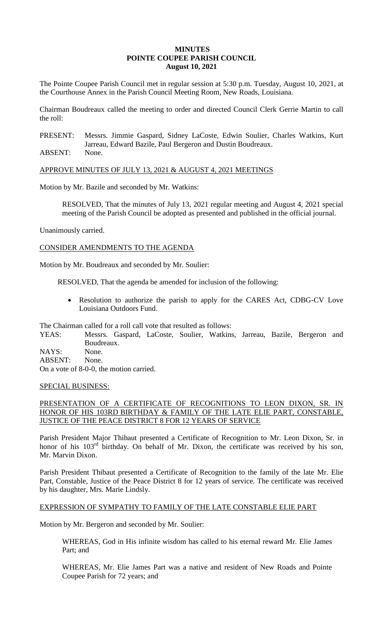## **MINUTES POINTE COUPEE PARISH COUNCIL August 10, 2021**

The Pointe Coupee Parish Council met in regular session at 5:30 p.m. Tuesday, August 10, 2021, at the Courthouse Annex in the Parish Council Meeting Room, New Roads, Louisiana.

Chairman Boudreaux called the meeting to order and directed Council Clerk Gerrie Martin to call the roll:

PRESENT: Messrs. Jimmie Gaspard, Sidney LaCoste, Edwin Soulier, Charles Watkins, Kurt Jarreau, Edward Bazile, Paul Bergeron and Dustin Boudreaux.

ABSENT: None.

APPROVE MINUTES OF JULY 13, 2021 & AUGUST 4, 2021 MEETINGS

Motion by Mr. Bazile and seconded by Mr. Watkins:

RESOLVED, That the minutes of July 13, 2021 regular meeting and August 4, 2021 special meeting of the Parish Council be adopted as presented and published in the official journal.

Unanimously carried.

CONSIDER AMENDMENTS TO THE AGENDA

Motion by Mr. Boudreaux and seconded by Mr. Soulier:

RESOLVED, That the agenda be amended for inclusion of the following:

• Resolution to authorize the parish to apply for the CARES Act, CDBG-CV Love Louisiana Outdoors Fund.

The Chairman called for a roll call vote that resulted as follows:

YEAS: Messrs. Gaspard, LaCoste, Soulier, Watkins, Jarreau, Bazile, Bergeron and Boudreaux.

NAYS: None.

ABSENT: None.

On a vote of 8-0-0, the motion carried.

## SPECIAL BUSINESS:

# PRESENTATION OF A CERTIFICATE OF RECOGNITIONS TO LEON DIXON, SR. IN HONOR OF HIS 103RD BIRTHDAY & FAMILY OF THE LATE ELIE PART, CONSTABLE, JUSTICE OF THE PEACE DISTRICT 8 FOR 12 YEARS OF SERVICE

Parish President Major Thibaut presented a Certificate of Recognition to Mr. Leon Dixon, Sr. in honor of his 103<sup>rd</sup> birthday. On behalf of Mr. Dixon, the certificate was received by his son, Mr. Marvin Dixon.

Parish President Thibaut presented a Certificate of Recognition to the family of the late Mr. Elie Part, Constable, Justice of the Peace District 8 for 12 years of service. The certificate was received by his daughter, Mrs. Marie Lindsly.

## EXPRESSION OF SYMPATHY TO FAMILY OF THE LATE CONSTABLE ELIE PART

Motion by Mr. Bergeron and seconded by Mr. Soulier:

WHEREAS, God in His infinite wisdom has called to his eternal reward Mr. Elie James Part; and

WHEREAS, Mr. Elie James Part was a native and resident of New Roads and Pointe Coupee Parish for 72 years; and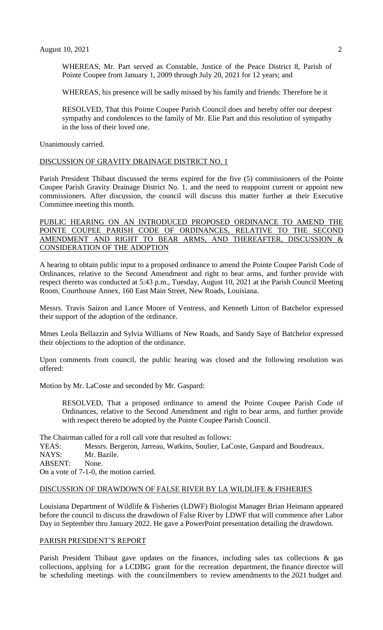WHEREAS, Mr. Part served as Constable, Justice of the Peace District 8, Parish of Pointe Coupee from January 1, 2009 through July 20, 2021 for 12 years; and

WHEREAS, his presence will be sadly missed by his family and friends: Therefore be it

RESOLVED, That this Pointe Coupee Parish Council does and hereby offer our deepest sympathy and condolences to the family of Mr. Elie Part and this resolution of sympathy in the loss of their loved one.

Unanimously carried.

#### DISCUSSION OF GRAVITY DRAINAGE DISTRICT NO. 1

Parish President Thibaut discussed the terms expired for the five (5) commissioners of the Pointe Coupee Parish Gravity Drainage District No. 1, and the need to reappoint current or appoint new commissioners. After discussion, the council will discuss this matter further at their Executive Committee meeting this month.

## PUBLIC HEARING ON AN INTRODUCED PROPOSED ORDINANCE TO AMEND THE POINTE COUPEE PARISH CODE OF ORDINANCES, RELATIVE TO THE SECOND AMENDMENT AND RIGHT TO BEAR ARMS, AND THEREAFTER, DISCUSSION & CONSIDERATION OF THE ADOPTION

A hearing to obtain public input to a proposed ordinance to amend the Pointe Coupee Parish Code of Ordinances, relative to the Second Amendment and right to bear arms, and further provide with respect thereto was conducted at 5:43 p.m., Tuesday, August 10, 2021 at the Parish Council Meeting Room, Courthouse Annex, 160 East Main Street, New Roads, Louisiana.

Messrs. Travis Saizon and Lance Moore of Ventress, and Kenneth Litton of Batchelor expressed their support of the adoption of the ordinance.

Mmes Leola Bellazzin and Sylvia Williams of New Roads, and Sandy Saye of Batchelor expressed their objections to the adoption of the ordinance.

Upon comments from council, the public hearing was closed and the following resolution was offered:

Motion by Mr. LaCoste and seconded by Mr. Gaspard:

RESOLVED, That a proposed ordinance to amend the Pointe Coupee Parish Code of Ordinances, relative to the Second Amendment and right to bear arms, and further provide with respect thereto be adopted by the Pointe Coupee Parish Council.

The Chairman called for a roll call vote that resulted as follows: YEAS: Messrs. Bergeron, Jarreau, Watkins, Soulier, LaCoste, Gaspard and Boudreaux. NAYS: Mr. Bazile. ABSENT: None. On a vote of 7-1-0, the motion carried.

### DISCUSSION OF DRAWDOWN OF FALSE RIVER BY LA WILDLIFE & FISHERIES

Louisiana Department of Wildlife & Fisheries (LDWF) Biologist Manager Brian Heimann appeared before the council to discuss the drawdown of False River by LDWF that will commence after Labor Day in September thru January 2022. He gave a PowerPoint presentation detailing the drawdown.

### PARISH PRESIDENT'S REPORT

Parish President Thibaut gave updates on the finances, including sales tax collections & gas collections, applying for a LCDBG grant for the recreation department, the finance director will be scheduling meetings with the councilmembers to review amendments to the 2021 budget and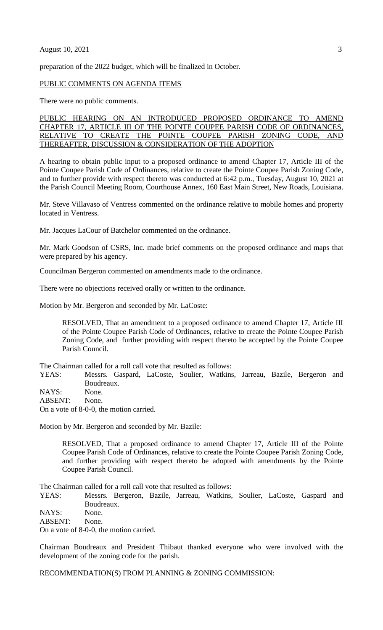#### August 10, 2021 3

preparation of the 2022 budget, which will be finalized in October.

#### PUBLIC COMMENTS ON AGENDA ITEMS

There were no public comments.

### PUBLIC HEARING ON AN INTRODUCED PROPOSED ORDINANCE TO AMEND CHAPTER 17, ARTICLE III OF THE POINTE COUPEE PARISH CODE OF ORDINANCES, RELATIVE TO CREATE THE POINTE COUPEE PARISH ZONING CODE, AND THEREAFTER, DISCUSSION & CONSIDERATION OF THE ADOPTION

A hearing to obtain public input to a proposed ordinance to amend Chapter 17, Article III of the Pointe Coupee Parish Code of Ordinances, relative to create the Pointe Coupee Parish Zoning Code, and to further provide with respect thereto was conducted at 6:42 p.m., Tuesday, August 10, 2021 at the Parish Council Meeting Room, Courthouse Annex, 160 East Main Street, New Roads, Louisiana.

Mr. Steve Villavaso of Ventress commented on the ordinance relative to mobile homes and property located in Ventress.

Mr. Jacques LaCour of Batchelor commented on the ordinance.

Mr. Mark Goodson of CSRS, Inc. made brief comments on the proposed ordinance and maps that were prepared by his agency.

Councilman Bergeron commented on amendments made to the ordinance.

There were no objections received orally or written to the ordinance.

Motion by Mr. Bergeron and seconded by Mr. LaCoste:

RESOLVED, That an amendment to a proposed ordinance to amend Chapter 17, Article III of the Pointe Coupee Parish Code of Ordinances, relative to create the Pointe Coupee Parish Zoning Code, and further providing with respect thereto be accepted by the Pointe Coupee Parish Council.

The Chairman called for a roll call vote that resulted as follows:

YEAS: Messrs. Gaspard, LaCoste, Soulier, Watkins, Jarreau, Bazile, Bergeron and Boudreaux.

NAYS: None.

ABSENT: None.

On a vote of 8-0-0, the motion carried.

Motion by Mr. Bergeron and seconded by Mr. Bazile:

RESOLVED, That a proposed ordinance to amend Chapter 17, Article III of the Pointe Coupee Parish Code of Ordinances, relative to create the Pointe Coupee Parish Zoning Code, and further providing with respect thereto be adopted with amendments by the Pointe Coupee Parish Council.

The Chairman called for a roll call vote that resulted as follows:

YEAS: Messrs. Bergeron, Bazile, Jarreau, Watkins, Soulier, LaCoste, Gaspard and Boudreaux.

NAYS: None.

ABSENT: None.

On a vote of 8-0-0, the motion carried.

Chairman Boudreaux and President Thibaut thanked everyone who were involved with the development of the zoning code for the parish.

RECOMMENDATION(S) FROM PLANNING & ZONING COMMISSION: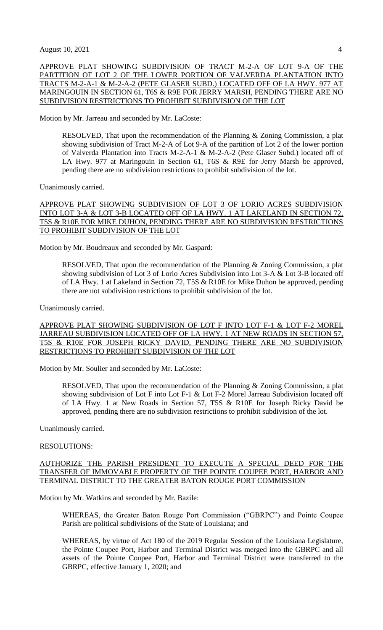APPROVE PLAT SHOWING SUBDIVISION OF TRACT M-2-A OF LOT 9-A OF THE PARTITION OF LOT 2 OF THE LOWER PORTION OF VALVERDA PLANTATION INTO TRACTS M-2-A-1 & M-2-A-2 (PETE GLASER SUBD.) LOCATED OFF OF LA HWY. 977 AT MARINGOUIN IN SECTION 61, T6S & R9E FOR JERRY MARSH, PENDING THERE ARE NO SUBDIVISION RESTRICTIONS TO PROHIBIT SUBDIVISION OF THE LOT

Motion by Mr. Jarreau and seconded by Mr. LaCoste:

RESOLVED, That upon the recommendation of the Planning & Zoning Commission, a plat showing subdivision of Tract M-2-A of Lot 9-A of the partition of Lot 2 of the lower portion of Valverda Plantation into Tracts M-2-A-1 & M-2-A-2 (Pete Glaser Subd.) located off of LA Hwy. 977 at Maringouin in Section 61, T6S & R9E for Jerry Marsh be approved, pending there are no subdivision restrictions to prohibit subdivision of the lot.

Unanimously carried.

### APPROVE PLAT SHOWING SUBDIVISION OF LOT 3 OF LORIO ACRES SUBDIVISION INTO LOT 3-A & LOT 3-B LOCATED OFF OF LA HWY. 1 AT LAKELAND IN SECTION 72, T5S & R10E FOR MIKE DUHON, PENDING THERE ARE NO SUBDIVISION RESTRICTIONS TO PROHIBIT SUBDIVISION OF THE LOT

Motion by Mr. Boudreaux and seconded by Mr. Gaspard:

RESOLVED, That upon the recommendation of the Planning & Zoning Commission, a plat showing subdivision of Lot 3 of Lorio Acres Subdivision into Lot 3-A & Lot 3-B located off of LA Hwy. 1 at Lakeland in Section 72, T5S & R10E for Mike Duhon be approved, pending there are not subdivision restrictions to prohibit subdivision of the lot.

Unanimously carried.

APPROVE PLAT SHOWING SUBDIVISION OF LOT F INTO LOT F-1 & LOT F-2 MOREL JARREAU SUBDIVISION LOCATED OFF OF LA HWY. 1 AT NEW ROADS IN SECTION 57, T5S & R10E FOR JOSEPH RICKY DAVID, PENDING THERE ARE NO SUBDIVISION RESTRICTIONS TO PROHIBIT SUBDIVISION OF THE LOT

Motion by Mr. Soulier and seconded by Mr. LaCoste:

RESOLVED, That upon the recommendation of the Planning & Zoning Commission, a plat showing subdivision of Lot F into Lot F-1 & Lot F-2 Morel Jarreau Subdivision located off of LA Hwy. 1 at New Roads in Section 57, T5S & R10E for Joseph Ricky David be approved, pending there are no subdivision restrictions to prohibit subdivision of the lot.

Unanimously carried.

### RESOLUTIONS:

AUTHORIZE THE PARISH PRESIDENT TO EXECUTE A SPECIAL DEED FOR THE TRANSFER OF IMMOVABLE PROPERTY OF THE POINTE COUPEE PORT, HARBOR AND TERMINAL DISTRICT TO THE GREATER BATON ROUGE PORT COMMISSION

Motion by Mr. Watkins and seconded by Mr. Bazile:

WHEREAS, the Greater Baton Rouge Port Commission ("GBRPC") and Pointe Coupee Parish are political subdivisions of the State of Louisiana; and

WHEREAS, by virtue of Act 180 of the 2019 Regular Session of the Louisiana Legislature, the Pointe Coupee Port, Harbor and Terminal District was merged into the GBRPC and all assets of the Pointe Coupee Port, Harbor and Terminal District were transferred to the GBRPC, effective January 1, 2020; and